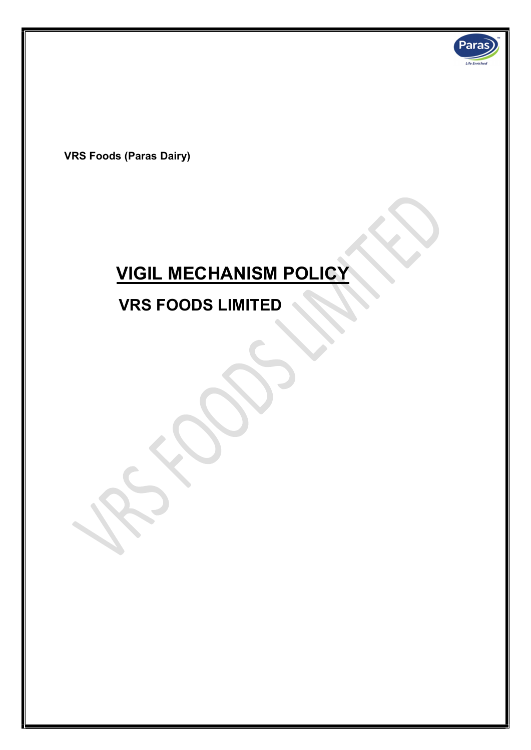

VRS Foods (Paras Dairy)

l

# VIGIL MECHANISM POLICY

# VRS FOODS LIMITED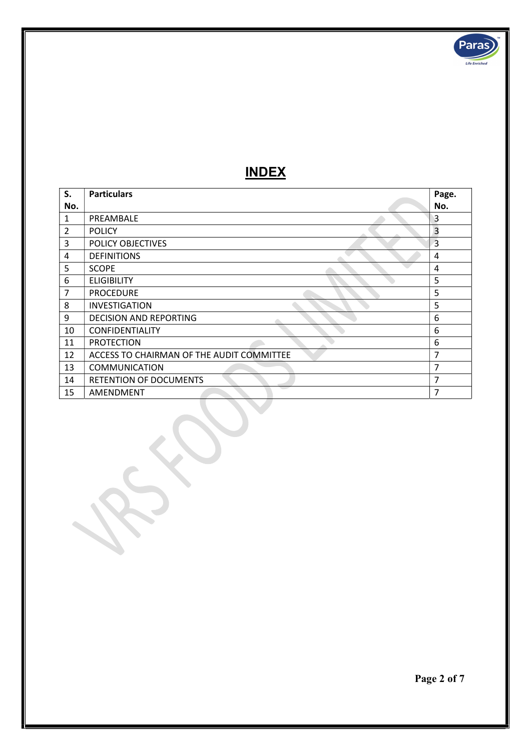

# INDEX

| S.             | <b>Particulars</b>                        | Page.          |
|----------------|-------------------------------------------|----------------|
| No.            |                                           | No.            |
| 1              | PREAMBALE                                 | 3              |
| $\overline{2}$ | <b>POLICY</b>                             | $\overline{3}$ |
| 3              | POLICY OBJECTIVES                         | $\overline{3}$ |
| 4              | <b>DEFINITIONS</b>                        | 4              |
| 5              | <b>SCOPE</b>                              | 4              |
| 6              | <b>ELIGIBILITY</b>                        | 5              |
| 7              | <b>PROCEDURE</b>                          | 5              |
| 8              | <b>INVESTIGATION</b>                      | 5              |
| 9              | <b>DECISION AND REPORTING</b>             | 6              |
| 10             | <b>CONFIDENTIALITY</b>                    | 6              |
| 11             | <b>PROTECTION</b>                         | 6              |
| 12             | ACCESS TO CHAIRMAN OF THE AUDIT COMMITTEE | 7              |
| 13             | <b>COMMUNICATION</b>                      | 7              |
| 14             | <b>RETENTION OF DOCUMENTS</b>             | 7              |
| 15             | AMENDMENT                                 | 7              |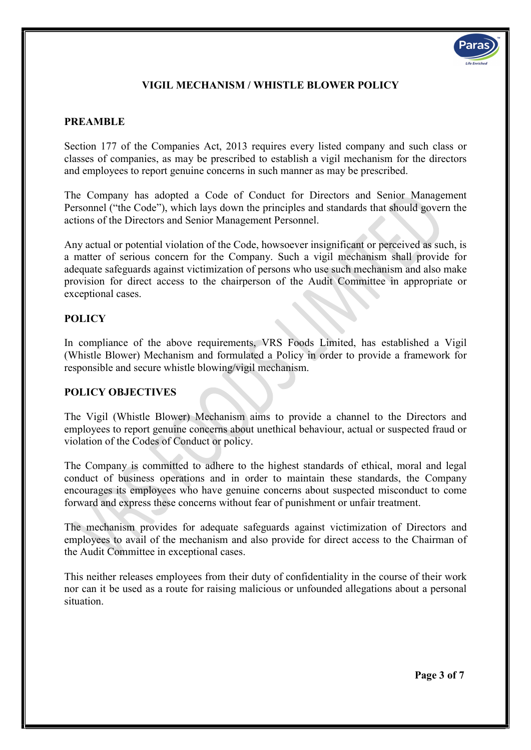

# VIGIL MECHANISM / WHISTLE BLOWER POLICY

## PREAMBLE

Section 177 of the Companies Act, 2013 requires every listed company and such class or classes of companies, as may be prescribed to establish a vigil mechanism for the directors and employees to report genuine concerns in such manner as may be prescribed.

The Company has adopted a Code of Conduct for Directors and Senior Management Personnel ("the Code"), which lays down the principles and standards that should govern the actions of the Directors and Senior Management Personnel.

Any actual or potential violation of the Code, howsoever insignificant or perceived as such, is a matter of serious concern for the Company. Such a vigil mechanism shall provide for adequate safeguards against victimization of persons who use such mechanism and also make provision for direct access to the chairperson of the Audit Committee in appropriate or exceptional cases.

# **POLICY**

In compliance of the above requirements, VRS Foods Limited, has established a Vigil (Whistle Blower) Mechanism and formulated a Policy in order to provide a framework for responsible and secure whistle blowing/vigil mechanism.

#### POLICY OBJECTIVES

The Vigil (Whistle Blower) Mechanism aims to provide a channel to the Directors and employees to report genuine concerns about unethical behaviour, actual or suspected fraud or violation of the Codes of Conduct or policy.

The Company is committed to adhere to the highest standards of ethical, moral and legal conduct of business operations and in order to maintain these standards, the Company encourages its employees who have genuine concerns about suspected misconduct to come forward and express these concerns without fear of punishment or unfair treatment.

The mechanism provides for adequate safeguards against victimization of Directors and employees to avail of the mechanism and also provide for direct access to the Chairman of the Audit Committee in exceptional cases.

This neither releases employees from their duty of confidentiality in the course of their work nor can it be used as a route for raising malicious or unfounded allegations about a personal situation.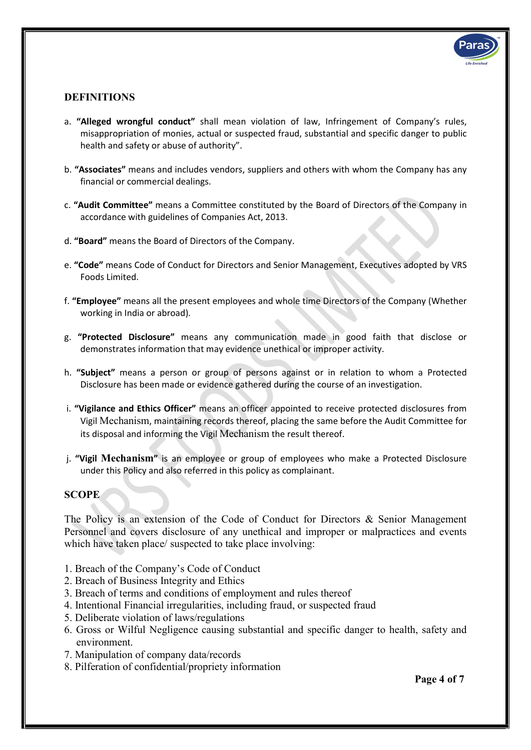

## DEFINITIONS

- a. "Alleged wrongful conduct" shall mean violation of law, Infringement of Company's rules, misappropriation of monies, actual or suspected fraud, substantial and specific danger to public health and safety or abuse of authority".
- b. "Associates" means and includes vendors, suppliers and others with whom the Company has any financial or commercial dealings.
- c. "Audit Committee" means a Committee constituted by the Board of Directors of the Company in accordance with guidelines of Companies Act, 2013.
- d. "Board" means the Board of Directors of the Company.
- e. "Code" means Code of Conduct for Directors and Senior Management, Executives adopted by VRS Foods Limited.
- f. "Employee" means all the present employees and whole time Directors of the Company (Whether working in India or abroad).
- g. "Protected Disclosure" means any communication made in good faith that disclose or demonstrates information that may evidence unethical or improper activity.
- h. "Subject" means a person or group of persons against or in relation to whom a Protected Disclosure has been made or evidence gathered during the course of an investigation.
- i. "Vigilance and Ethics Officer" means an officer appointed to receive protected disclosures from Vigil Mechanism, maintaining records thereof, placing the same before the Audit Committee for its disposal and informing the Vigil Mechanism the result thereof.
- j. "Vigil Mechanism" is an employee or group of employees who make a Protected Disclosure under this Policy and also referred in this policy as complainant.

#### **SCOPE**

The Policy is an extension of the Code of Conduct for Directors & Senior Management Personnel and covers disclosure of any unethical and improper or malpractices and events which have taken place/ suspected to take place involving:

- 1. Breach of the Company's Code of Conduct
- 2. Breach of Business Integrity and Ethics
- 3. Breach of terms and conditions of employment and rules thereof
- 4. Intentional Financial irregularities, including fraud, or suspected fraud
- 5. Deliberate violation of laws/regulations
- 6. Gross or Wilful Negligence causing substantial and specific danger to health, safety and environment.
- 7. Manipulation of company data/records
- 8. Pilferation of confidential/propriety information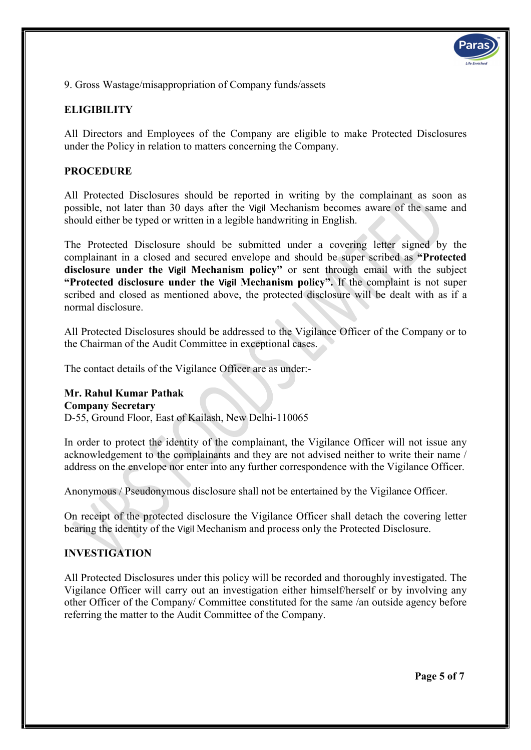9. Gross Wastage/misappropriation of Company funds/assets

# **ELIGIBILITY**

All Directors and Employees of the Company are eligible to make Protected Disclosures under the Policy in relation to matters concerning the Company.

#### PROCEDURE

All Protected Disclosures should be reported in writing by the complainant as soon as possible, not later than 30 days after the Vigil Mechanism becomes aware of the same and should either be typed or written in a legible handwriting in English.

The Protected Disclosure should be submitted under a covering letter signed by the complainant in a closed and secured envelope and should be super scribed as "Protected disclosure under the Vigil Mechanism policy" or sent through email with the subject "Protected disclosure under the Vigil Mechanism policy". If the complaint is not super scribed and closed as mentioned above, the protected disclosure will be dealt with as if a normal disclosure.

All Protected Disclosures should be addressed to the Vigilance Officer of the Company or to the Chairman of the Audit Committee in exceptional cases.

The contact details of the Vigilance Officer are as under:-

# Mr. Rahul Kumar Pathak

Company Secretary

D-55, Ground Floor, East of Kailash, New Delhi-110065

In order to protect the identity of the complainant, the Vigilance Officer will not issue any acknowledgement to the complainants and they are not advised neither to write their name / address on the envelope nor enter into any further correspondence with the Vigilance Officer.

Anonymous / Pseudonymous disclosure shall not be entertained by the Vigilance Officer.

On receipt of the protected disclosure the Vigilance Officer shall detach the covering letter bearing the identity of the Vigil Mechanism and process only the Protected Disclosure.

#### INVESTIGATION

All Protected Disclosures under this policy will be recorded and thoroughly investigated. The Vigilance Officer will carry out an investigation either himself/herself or by involving any other Officer of the Company/ Committee constituted for the same /an outside agency before referring the matter to the Audit Committee of the Company.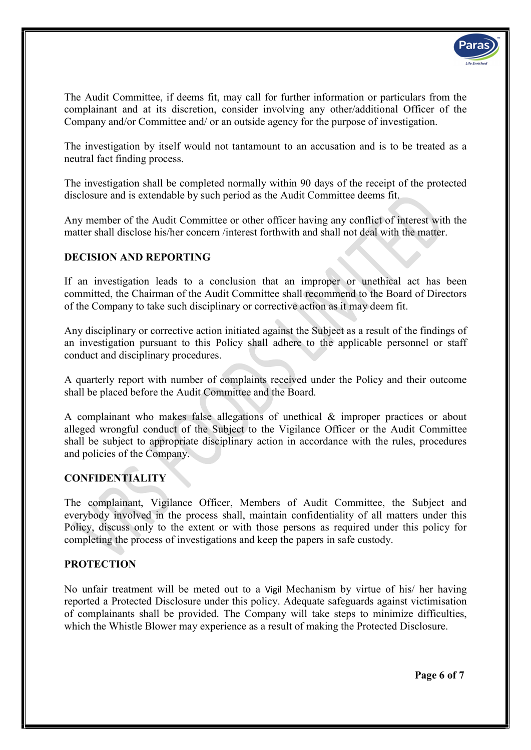

The Audit Committee, if deems fit, may call for further information or particulars from the complainant and at its discretion, consider involving any other/additional Officer of the Company and/or Committee and/ or an outside agency for the purpose of investigation.

The investigation by itself would not tantamount to an accusation and is to be treated as a neutral fact finding process.

The investigation shall be completed normally within 90 days of the receipt of the protected disclosure and is extendable by such period as the Audit Committee deems fit.

Any member of the Audit Committee or other officer having any conflict of interest with the matter shall disclose his/her concern /interest forthwith and shall not deal with the matter.

#### DECISION AND REPORTING

If an investigation leads to a conclusion that an improper or unethical act has been committed, the Chairman of the Audit Committee shall recommend to the Board of Directors of the Company to take such disciplinary or corrective action as it may deem fit.

Any disciplinary or corrective action initiated against the Subject as a result of the findings of an investigation pursuant to this Policy shall adhere to the applicable personnel or staff conduct and disciplinary procedures.

A quarterly report with number of complaints received under the Policy and their outcome shall be placed before the Audit Committee and the Board.

A complainant who makes false allegations of unethical & improper practices or about alleged wrongful conduct of the Subject to the Vigilance Officer or the Audit Committee shall be subject to appropriate disciplinary action in accordance with the rules, procedures and policies of the Company.

# **CONFIDENTIALITY**

The complainant, Vigilance Officer, Members of Audit Committee, the Subject and everybody involved in the process shall, maintain confidentiality of all matters under this Policy, discuss only to the extent or with those persons as required under this policy for completing the process of investigations and keep the papers in safe custody.

#### **PROTECTION**

No unfair treatment will be meted out to a Vigil Mechanism by virtue of his/ her having reported a Protected Disclosure under this policy. Adequate safeguards against victimisation of complainants shall be provided. The Company will take steps to minimize difficulties, which the Whistle Blower may experience as a result of making the Protected Disclosure.